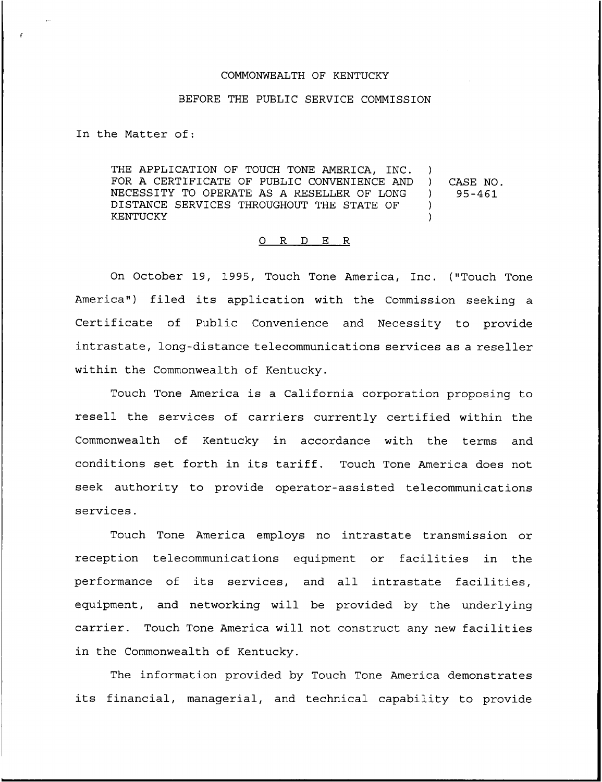## COMMONWEALTH OF KENTUCKY

## BEFORE THE PUBLIC SERVICE COMMISSION

In the Matter of:

THE APPLICATION OF TOUCH TONE AMERICA, INC. FOR A CERTIFICATE OF PUBLIC CONVENIENCE AND NECESSITY TO OPERATE AS A RESELLER OF LONG DISTANCE SERVICES THROUGHOUT THE STATE OF KENTUCKY ) ) )

## ) CASE NO.<br>095-461 ) 95-461

## 0 R <sup>D</sup> E R

On October 19, 1995, Touch Tone America, Inc. ("Touch Tone America") filed its application with the Commission seeking a Certificate of Public Convenience and Necessity to provide intrastate, long-distance telecommunications services as a reseller within the Commonwealth of Kentucky.

Touch Tone America is a California corporation proposing to resell the services of carriers currently certified within the Commonwealth of Kentucky in accordance with the terms and conditions set forth in its tariff. Touch Tone America does not seek authority to provide operator-assisted telecommunications services.

Touch Tone America employs no intrastate transmission or reception telecommunications equipment or facilities in the performance of its services, and all intrastate facilities, equipment, and networking will be provided by the underlying carrier. Touch Tone America will not construct any new facilities in the Commonwealth of Kentucky.

The information provided by Touch Tone America demonstrates its financial, managerial, and technical capability to provide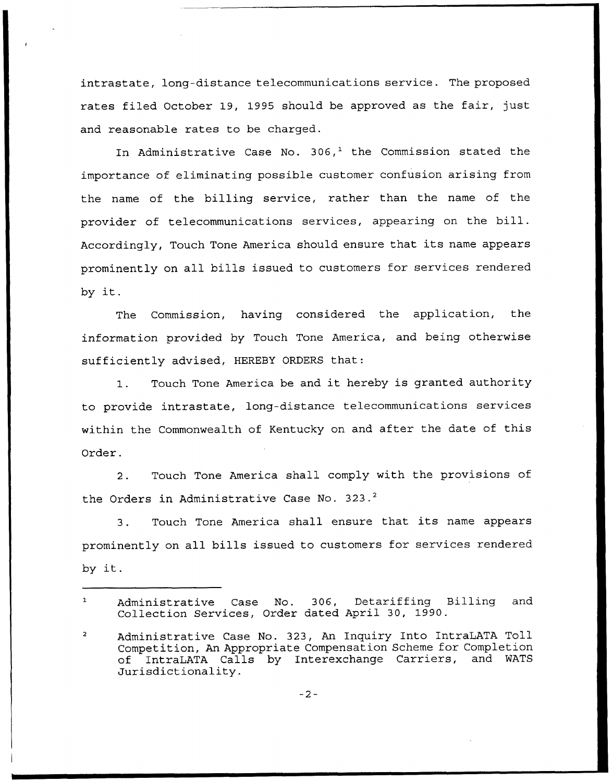intrastate, long-distance telecommunications service. The proposed rates filed October 19, 1995 should be approved as the fair, just and reasonable rates to be charged.

In Administrative Case No. 306,<sup>1</sup> the Commission stated the importance of eliminating possible customer confusion arising from the name of the billing service, rather than the name of the provider of telecommunications services, appearing on the bill. Accordingly, Touch Tone America should ensure that its name appears prominently on all bills issued to customers for services rendered by it.

The Commission, having considered the application, the information provided by Touch Tone America, and being otherwise sufficiently advised, HEREBY ORDERS that:

1. Touch Tone America be and it hereby is granted authority to provide intrastate, long-distance telecommunications services within the Commonwealth of Kentucky on and after the date of this Order.

2. Touch Tone America shall comply with the provisions of the Orders in Administrative Case No. 323.<sup>2</sup>

Touch Tone America shall ensure that its name appears  $3.$ prominently on all bills issued to customers for services rendered by it.

 $-2-$ 

 $\mathbf{1}$ Administrative Case No. 306, Detariffing Billing and Collection Services, Order dated April 30, 1990.

 $\overline{2}$ Administrative Case No. 323, An Inquiry Into IntraLATA Toll Competition, An Appropriate Compensation Scheme for Completion<br>of IntraLATA Calls by Interexchange Carriers, and WATS of IntraLATA Calls by Interexchange Carriers, Jurisdictionality.